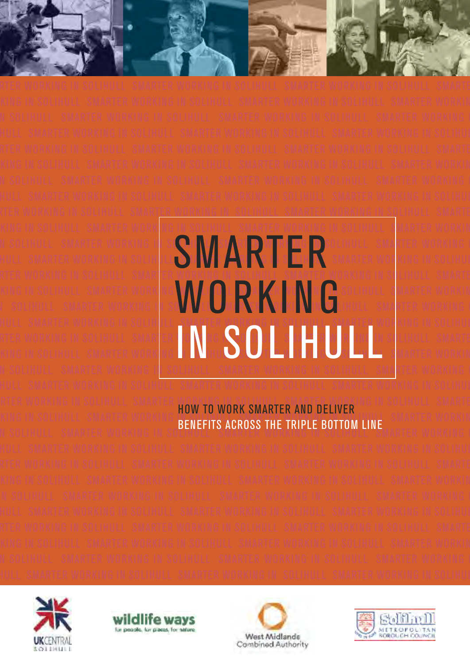

## N SOLIHULL SMARTER WORKING I<mark>IS (IIII) STARTED WIR ING IN</mark> SOLIHULL SMARTER WORKING I HULL SMARTER WORKING IN SOLIH<mark>jll SMARTER SMARTER WORKING IN SOLIHU</mark>L RTER WORKING IN SOLIHULL SMARTER WORKING IN SOLIHULL SMARTER WORKING IN SOLIHULL SMARTE KING IN SOLIHULL SMARTER WORK NG VAVII O L S A ZAR VON IN THE SOLIHULL SMARTER WORKIN N SOLIHULL SMARTER WORKING I<mark>N SOVAYIL SMARTER SOLIHULL SMA</mark>RTER WORKING I HULL SMARTER WORKING IN SOLIH<mark>ull smarter working i</mark>n s<u>olihull smarter</u> working in solihui RTER WORKING IN SOLIHULL SMARTER TO N NG INSOLITUL STA<mark>LL</mark>IR WORKING IN SOLIHULL SMARTE HULL SMARTER WURKING IN SULIHULL SMARTER WURKING IN SULIHULL SMARTER WURKING IN SULIHUI<br>RTER WORKING IN SOLIHULL SMARTER VORK NG ING ING ING IN SOLIHULL SMARTER WORKING IN SOLIHULL SMARTE<br>IN SOLIHULL SMARTER WORK NG ING IN SMARTER WORKING

#### RTER WORKING IN SOLIHULL SMARTER WORKING IN SOLIHULL SOLIGION SOLIHULL SMARTE KING IN SOLIHULL SMARTER WORKING IN SOLIHULL SOLIHULL SMARTER WORKING N SOLIHULL SMARTER WORKING IN SOLIHULL'SMARTER WURKING IN SOLIHULL'"SMARTER WORKING I HOW TO WORK SMARTER AND DELIVER BENEFITS ACROSS THE TRIPLE BOTTOM LINE







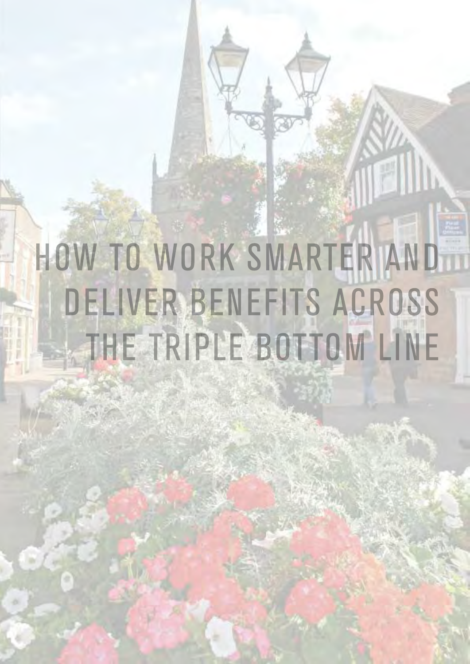# HOW TO WORK SMARTER AND DELIVER BENEFITS ACROSS THE TRIPLE BOTTOM LINE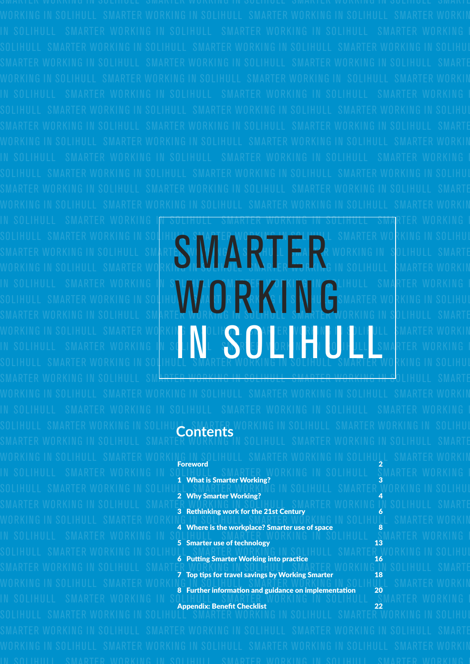IN SOLIHULL SMARTER WORKING IN SOLIHULL SMARTER WORKING IN SOLIHULL SMARTER WORKING I

SMARTER WORKING IN SOLIHULL SM<del>ärter Working in Solihull Smarter Working in S</del>olihull Smarte

SOLIHULL SMARTER WORKING IN SOLIHULL SMARTER WORKING IN SOLIHULL SMARTER WORKING IN SOLIHUI SMARTER WORKING IN SOLIHULL SMARTER WORKING IN SOLIHULL SMARTER WORKING IN SOLIHULL SMARTE WORKING IN SOLIHULL SMARTER WORKING IN SOLIHULL SMARTER WORKING IN SOLIHULL SMARTER WORKIN IN SOLIHULL SMARTER WORKING IN SOLIHULL SMARTER WORKING IN SOLIHULL SMARTER WORKING I SOLIHULL SMARTER WORKING IN SOLIHULL SMARTER WORKING IN SOLIHULL SMARTER WORKING IN SOLIHUL SMARTER WORKING IN SOLIHULL SMARTER WORKING IN SOLIHULL SMARTER WORKING IN SOLIHULL SMARTE WORKING IN SOLIHULL SMARTER WORKING IN SOLIHULL SMARTER WORKING IN SOLIHULL SMARTER WORKIN IN SOLIHULL SMARTER WORKING IN SOLIHULL SMARTER WORKING IN SOLIHULL SMARTER WORKING I

SOLIHULL SMARTER WORKING IN SOLIHULL SMARTER WORKING IN SOLIHULL SMARTER WORKING IN SOLIHUL SMARTER WORKING IN SOLIHULL SMARTER WORKING IN SOLITULI, SMARTER WORKING IN SOLIHULL SMARTE WORKING IN SOLIHULL SMARTER WORKING IN SOLIHULL SMARTER WORKING IN SOLIHULL SMARTER WORKIN 8 Further information and guidance on implementation IN SOLIHULL SMARTER WORKING IN SOLIHULL SMARTER WORKING IN SOLIHULL SMARTER WORKING I

# SOLIHULL SMARTER WORKING IN SOLIHULL SMARTER WORKING IN SOLIHULL SMARTER WORKING IN SOLIHUL SMARTER WORKING IN SOLIHULL SMARTER WORKING IN SOLIHULL SMARTE SOLIHULL SMARTER WORKING IN SOLIHUNG SOLIHUL SMARTER WORKING IN SOLIHUL<br>SMARTER WORKING IN SOLIHULL SMARTER WO<mark>RKING IN SAMER WORKING IN SOLIHULL SMARTER WORKIN</mark> IN SOLIHULL SMARTER WORKING I<mark>N SOLITIC ON SET YOTHING I</mark>N SOLIHULL SMARTER WORKING I SOLIHULL SMARTER WORKING IN SOLI<mark>hu vavaati sina t</mark>e smarter working in solihul IN SOLIHULL SMARTER WORKING I<mark>N SUMMAND AND REAL IN SOLIHULL SMARTER WORKING I<br>SMARTER WORKING IN SOLIHULL SMARTER WORKING IN SOLIHULL SMARTER WORKING IN SOLIHULL SMARTE</mark> WORKING IN SOLIHULL SMARTER WORKING IN SOLIHULL SMARTER WORKING IN SOLIHULL SMARTER WORKIN IN SOLIHULL SMARTER WORKING I<mark>n Soli N</mark>LL SINR <mark>ET VORM NEI VIO</mark>TH JLL SMARTER WORKING I WORKING IN SOLIHULL SMARTER WORKING<br>IN SOLIHULL SMARTER WORKING IN SOLIHULL SMARTER WORKING IN SOLIHULL SMARTER WORKING IN SOLIHUI<br>SOLIHULL SMARTER WORKING IN SOLIHULL SMARTER WORKING IN SOLIHULL SMARTER WORKING IN SOLIHUI

2 3

4 6 8

13

16 18

20

22

# **Contents**

#### Foreword

- 1 What is Smarter Working?
- 2 Why Smarter Working?
- 3 Rethinking work for the 21st Century
- 4 Where is the workplace? Smarter use of space
- 5 Smarter use of technology
- 6 Putting Smarter Working into practice
- 
- 

#### Appendix: Benefit Checklist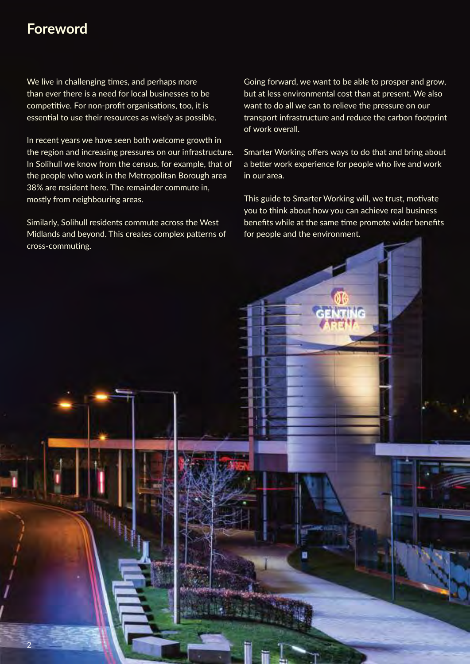## **Foreword**

2

We live in challenging times, and perhaps more than ever there is a need for local businesses to be competitive. For non-profit organisations, too, it is essential to use their resources as wisely as possible.

In recent years we have seen both welcome growth in the region and increasing pressures on our infrastructure. In Solihull we know from the census, for example, that of the people who work in the Metropolitan Borough area 38% are resident here. The remainder commute in, mostly from neighbouring areas.

Similarly, Solihull residents commute across the West Midlands and beyond. This creates complex patterns of cross-commuting.

Going forward, we want to be able to prosper and grow, but at less environmental cost than at present. We also want to do all we can to relieve the pressure on our transport infrastructure and reduce the carbon footprint of work overall.

Smarter Working offers ways to do that and bring about a better work experience for people who live and work in our area.

This guide to Smarter Working will, we trust, motivate you to think about how you can achieve real business benefits while at the same time promote wider benefits for people and the environment.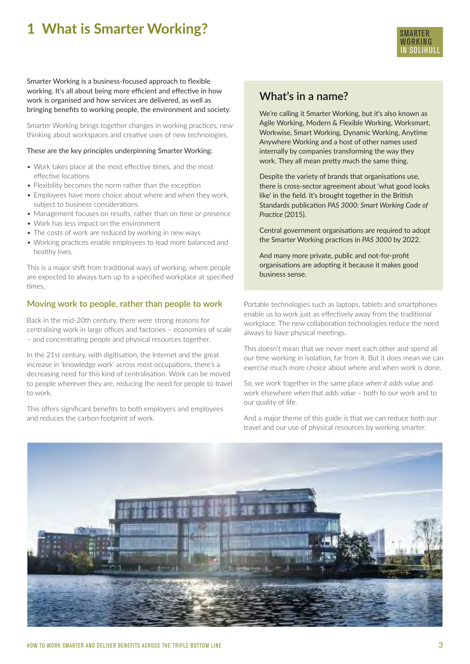# **1 What is Smarter Working?**



Smarter Working is a business-focused approach to flexible working. It's all about being more efficient and effective in how work is organised and how services are delivered, as well as bringing benefits to working people, the environment and society.

Smarter Working brings together changes in working practices, new thinking about workspaces and creative uses of new technologies.

#### These are the key principles underpinning Smarter Working:

- Work takes place at the most effective times, and the most effective locations
- Flexibility becomes the norm rather than the exception
- Employees have more choice about where and when they work, subject to business considerations
- Management focuses on results, rather than on time or presence
- Work has less impact on the environment
- The costs of work are reduced by working in new ways
- Working practices enable employees to lead more balanced and healthy lives.

This is a major shift from traditional ways of working, where people are expected to always turn up to a specified workplace at specified times.

#### **Moving work to people, rather than people to work**

Back in the mid-20th century, there were strong reasons for centralising work in large offices and factories – economies of scale – and concentrating people and physical resources together.

In the 21st century, with digitisation, the Internet and the great increase in 'knowledge work' across most occupations, there's a decreasing need for this kind of centralisation. Work can be moved to people wherever they are, reducing the need for people to travel to work.

This offers significant benefits to both employers and employees and reduces the carbon footprint of work.

## **What's in a name?**

We're calling it Smarter Working, but it's also known as Agile Working, Modern & Flexible Working, Worksmart, Workwise, Smart Working, Dynamic Working, Anytime Anywhere Working and a host of other names used internally by companies transforming the way they work. They all mean pretty much the same thing.

Despite the variety of brands that organisations use, there is cross-sector agreement about 'what good looks like' in the field. It's brought together in the British Standards publication *PAS 3000: Smart Working Code of Practice* (2015).

Central government organisations are required to adopt the Smarter Working practices in *PAS 3000* by 2022.

And many more private, public and not-for-profit organisations are adopting it because it makes good business sense.

Portable technologies such as laptops, tablets and smartphones enable us to work just as effectively away from the traditional workplace. The new collaboration technologies reduce the need always to have physical meetings.

This doesn't mean that we never meet each other and spend all our time working in isolation, far from it. But it does mean we can exercise much more choice about where and when work is done.

So, we work together in the same place *when it adds value* and work elsewhere *when that adds value* – both to our work and to our quality of life.

And a major theme of this guide is that we can reduce both our travel and our use of physical resources by working smarter.

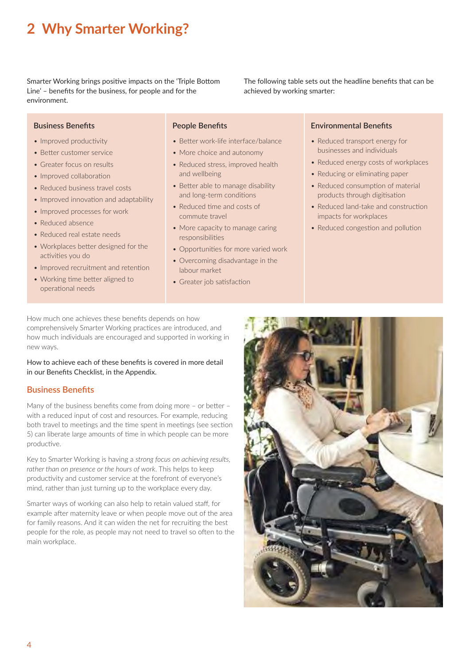# **2 Why Smarter Working?**

Smarter Working brings positive impacts on the 'Triple Bottom Line' – benefits for the business, for people and for the environment.

The following table sets out the headline benefits that can be achieved by working smarter:

#### **Business Benefits**

- Improved productivity
- Better customer service
- Greater focus on results
- Improved collaboration
- Reduced business travel costs
- Improved innovation and adaptability
- Improved processes for work
- Reduced absence
- Reduced real estate needs
- Workplaces better designed for the activities you do
- Improved recruitment and retention
- Working time better aligned to operational needs

#### **People Benefits**

- Better work-life interface/balance
- More choice and autonomy
- Reduced stress, improved health and wellbeing
- Better able to manage disability and long-term conditions
- Reduced time and costs of commute travel
- More capacity to manage caring responsibilities
- Opportunities for more varied work
- Overcoming disadvantage in the labour market
- Greater job satisfaction

#### **Environmental Benefits**

- Reduced transport energy for businesses and individuals
- Reduced energy costs of workplaces
- Reducing or eliminating paper
- Reduced consumption of material products through digitisation
- Reduced land-take and construction impacts for workplaces
- Reduced congestion and pollution

How much one achieves these benefits depends on how comprehensively Smarter Working practices are introduced, and how much individuals are encouraged and supported in working in new ways.

How to achieve each of these benefits is covered in more detail in our Benefits Checklist, in the Appendix.

#### **Business Benefits**

Many of the business benefits come from doing more – or better – with a reduced input of cost and resources. For example, reducing both travel to meetings and the time spent in meetings (see section 5) can liberate large amounts of time in which people can be more productive.

Key to Smarter Working is having a *strong focus on achieving results, rather than on presence or the hours of work*. This helps to keep productivity and customer service at the forefront of everyone's mind, rather than just turning up to the workplace every day.

Smarter ways of working can also help to retain valued staff, for example after maternity leave or when people move out of the area for family reasons. And it can widen the net for recruiting the best people for the role, as people may not need to travel so often to the main workplace.

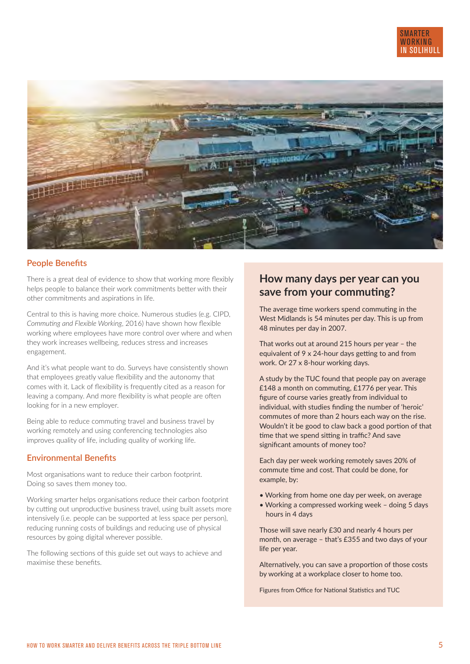

#### **People Benefits**

There is a great deal of evidence to show that working more flexibly helps people to balance their work commitments better with their other commitments and aspirations in life.

Central to this is having more choice. Numerous studies (e.g. CIPD, *Commuting and Flexible Working*, 2016) have shown how flexible working where employees have more control over where and when they work increases wellbeing, reduces stress and increases engagement.

And it's what people want to do. Surveys have consistently shown that employees greatly value flexibility and the autonomy that comes with it. Lack of flexibility is frequently cited as a reason for leaving a company. And more flexibility is what people are often looking for in a new employer.

Being able to reduce commuting travel and business travel by working remotely and using conferencing technologies also improves quality of life, including quality of working life.

#### **Environmental Benefits**

Most organisations want to reduce their carbon footprint. Doing so saves them money too.

Working smarter helps organisations reduce their carbon footprint by cutting out unproductive business travel, using built assets more intensively (i.e. people can be supported at less space per person), reducing running costs of buildings and reducing use of physical resources by going digital wherever possible.

The following sections of this guide set out ways to achieve and maximise these benefits.

## **How many days per year can you save from your commuting?**

The average time workers spend commuting in the West Midlands is 54 minutes per day. This is up from 48 minutes per day in 2007.

That works out at around 215 hours per year – the equivalent of 9 x 24-hour days getting to and from work. Or 27 x 8-hour working days.

A study by the TUC found that people pay on average £148 a month on commuting, £1776 per year. This figure of course varies greatly from individual to individual, with studies finding the number of 'heroic' commutes of more than 2 hours each way on the rise. Wouldn't it be good to claw back a good portion of that time that we spend sitting in traffic? And save significant amounts of money too?

Each day per week working remotely saves 20% of commute time and cost. That could be done, for example, by:

- Working from home one day per week, on average
- Working a compressed working week doing 5 days hours in 4 days

Those will save nearly £30 and nearly 4 hours per month, on average – that's £355 and two days of your life per year.

Alternatively, you can save a proportion of those costs by working at a workplace closer to home too.

Figures from Office for National Statistics and TUC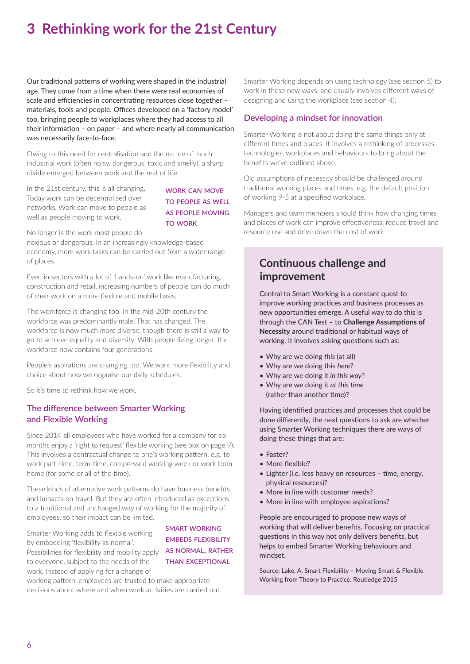# **3 Rethinking work for the 21st Century**

Our traditional patterns of working were shaped in the industrial age. They come from a time when there were real economies of scale and efficiencies in concentrating resources close together – materials, tools and people. Offices developed on a 'factory model' too, bringing people to workplaces where they had access to all their information – on paper – and where nearly all communication was necessarily face-to-face.

Owing to this need for centralisation and the nature of much industrial work (often noisy, dangerous, toxic and smelly), a sharp divide emerged between work and the rest of life.

In the 21st century, this is all changing. Today work can be decentralised over networks. Work can move to people as well as people moving to work.

**work can MovE to PEoPlE as wEll as PEoPlE Moving to work**

No longer is the work most people do

noxious or dangerous. In an increasingly knowledge-based economy, more work tasks can be carried out from a wider range of places.

Even in sectors with a lot of 'hands-on' work like manufacturing, construction and retail, increasing numbers of people can do much of their work on a more flexible and mobile basis.

The workforce is changing too. In the mid-20th century the workforce was predominantly male. That has changed. The workforce is now much more diverse, though there is still a way to go to achieve equality and diversity. With people living longer, the workforce now contains four generations.

People's aspirations are changing too. We want more flexibility and choice about how we organise our daily schedules.

So it's time to rethink how we work.

#### **the difference between smarter working and flexible working**

Since 2014 all employees who have worked for a company for six months enjoy a 'right to request' flexible working (see box on page 9). This involves a contractual change to one's working pattern, e.g. to work part-time, term-time, compressed working week or work from home (for some or all of the time).

These kinds of alternative work patterns do have business benefits and impacts on travel. But they are often introduced as exceptions to a traditional and unchanged way of working for the majority of employees, so their impact can be limited.

Smarter Working adds to flexible working by embedding 'flexibility as normal'. Possibilities for flexibility and mobility apply to everyone, subject to the needs of the work. Instead of applying for a change of

#### **sMart working EMBEds flExiBility as norMal, rathEr than ExcEPtional**

working pattern, employees are trusted to make appropriate decisions about where and when work activities are carried out.

Smarter Working depends on using technology (see section 5) to work in these new ways, and usually involves different ways of designing and using the workplace (see section 4).

#### **developing a mindset for innovation**

Smarter Working is not about doing the same things only at different times and places. It involves a rethinking of processes, technologies, workplaces and behaviours to bring about the benefits we've outlined above.

Old assumptions of necessity should be challenged around traditional working places and times, e.g. the default position of working 9-5 at a specified workplace.

Managers and team members should think how changing times and places of work can improve effectiveness, reduce travel and resource use and drive down the cost of work.

## **Continuous challenge and improvement**

Central to Smart Working is a constant quest to improve working practices and business processes as new opportunities emerge. A useful way to do this is through the CAN Test – to **Challenge Assumptions of Necessity** around traditional or habitual ways of working. It involves asking questions such as:

- Why are we doing *this* (at all)
- Why are we doing this *here*?
- Why are we doing it *in this way*?
- Why are we doing it *at this time* (rather than another time)?

Having identified practices and processes that could be done differently, the next questions to ask are whether using Smarter Working techniques there are ways of doing these things that are:

- Faster?
- More flexible?
- Lighter (i.e. less heavy on resources time, energy, physical resources)?
- More in line with customer needs?
- More in line with employee aspirations?

People are encouraged to propose new ways of working that will deliver benefits. Focusing on practical questions in this way not only delivers benefits, but helps to embed Smarter Working behaviours and mindset.

Source: Lake, A. Smart Flexibility – Moving Smart & Flexible Working from Theory to Practice. Routledge 2015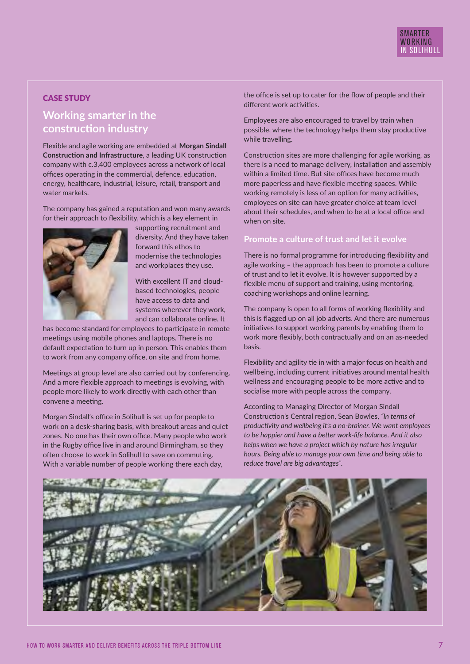#### CASE STUDY

## **Working smarter in the construction industry**

Flexible and agile working are embedded at **Morgan Sindall Construction and Infrastructure**, a leading UK construction company with c.3,400 employees across a network of local offices operating in the commercial, defence, education, energy, healthcare, industrial, leisure, retail, transport and water markets.

The company has gained a reputation and won many awards for their approach to flexibility, which is a key element in



supporting recruitment and diversity. And they have taken forward this ethos to modernise the technologies and workplaces they use.

With excellent IT and cloudbased technologies, people have access to data and systems wherever they work, and can collaborate online. It

has become standard for employees to participate in remote meetings using mobile phones and laptops. There is no default expectation to turn up in person. This enables them to work from any company office, on site and from home.

Meetings at group level are also carried out by conferencing. And a more flexible approach to meetings is evolving, with people more likely to work directly with each other than convene a meeting.

Morgan Sindall's office in Solihull is set up for people to work on a desk-sharing basis, with breakout areas and quiet zones. No one has their own office. Many people who work in the Rugby office live in and around Birmingham, so they often choose to work in Solihull to save on commuting. With a variable number of people working there each day,

the office is set up to cater for the flow of people and their different work activities.

Employees are also encouraged to travel by train when possible, where the technology helps them stay productive while travelling.

Construction sites are more challenging for agile working, as there is a need to manage delivery, installation and assembly within a limited time. But site offices have become much more paperless and have flexible meeting spaces. While working remotely is less of an option for many activities, employees on site can have greater choice at team level about their schedules, and when to be at a local office and when on site.

#### **Promote a culture of trust and let it evolve**

There is no formal programme for introducing flexibility and agile working – the approach has been to promote a culture of trust and to let it evolve. It is however supported by a flexible menu of support and training, using mentoring, coaching workshops and online learning.

The company is open to all forms of working flexibility and this is flagged up on all job adverts. And there are numerous initiatives to support working parents by enabling them to work more flexibly, both contractually and on an as-needed basis.

Flexibility and agility tie in with a major focus on health and wellbeing, including current initiatives around mental health wellness and encouraging people to be more active and to socialise more with people across the company.

According to Managing Director of Morgan Sindall Construction's Central region, Sean Bowles, *"In terms of productivity and wellbeing it's a no-brainer. We want employees to be happier and have a better work-life balance. And it also helps when we have a project which by nature has irregular hours. Being able to manage your own time and being able to reduce travel are big advantages"*.

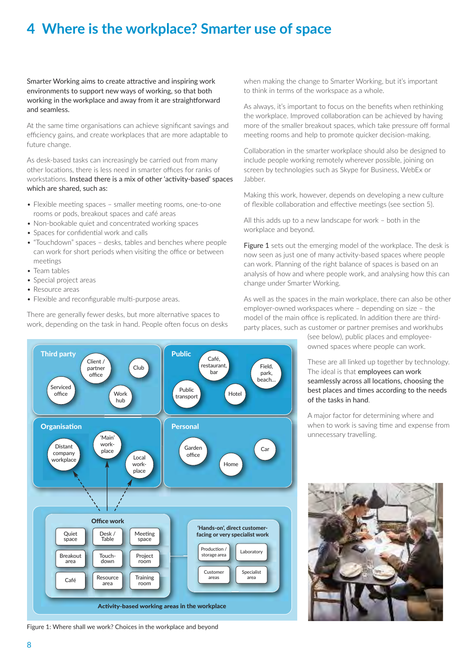## **4 Where is the workplace? Smarter use of space**

Smarter Working aims to create attractive and inspiring work environments to support new ways of working, so that both working in the workplace and away from it are straightforward and seamless.

At the same time organisations can achieve significant savings and efficiency gains, and create workplaces that are more adaptable to future change.

As desk-based tasks can increasingly be carried out from many other locations, there is less need in smarter offices for ranks of workstations. Instead there is a mix of other 'activity-based' spaces which are shared, such as:

- Flexible meeting spaces smaller meeting rooms, one-to-one rooms or pods, breakout spaces and café areas
- Non-bookable quiet and concentrated working spaces
- Spaces for confidential work and calls
- "Touchdown" spaces desks, tables and benches where people can work for short periods when visiting the office or between meetings
- Team tables
- Special project areas
- Resource areas
- Flexible and reconfigurable multi-purpose areas.

There are generally fewer desks, but more alternative spaces to work, depending on the task in hand. People often focus on desks when making the change to Smarter Working, but it's important to think in terms of the workspace as a whole.

As always, it's important to focus on the benefits when rethinking the workplace. Improved collaboration can be achieved by having more of the smaller breakout spaces, which take pressure off formal meeting rooms and help to promote quicker decision-making.

Collaboration in the smarter workplace should also be designed to include people working remotely wherever possible, joining on screen by technologies such as Skype for Business, WebEx or Jabber.

Making this work, however, depends on developing a new culture of flexible collaboration and effective meetings (see section 5).

All this adds up to a new landscape for work – both in the workplace and beyond.

Figure 1 sets out the emerging model of the workplace. The desk is now seen as just one of many activity-based spaces where people can work. Planning of the right balance of spaces is based on an analysis of how and where people work, and analysing how this can change under Smarter Working.

As well as the spaces in the main workplace, there can also be other employer-owned workspaces where – depending on size – the model of the main office is replicated. In addition there are thirdparty places, such as customer or partner premises and workhubs

> (see below), public places and employeeowned spaces where people can work.

These are all linked up together by technology. The ideal is that employees can work seamlessly across all locations, choosing the best places and times according to the needs of the tasks in hand.

A major factor for determining where and when to work is saving time and expense from unnecessary travelling.





Figure 1: Where shall we work? Choices in the workplace and beyond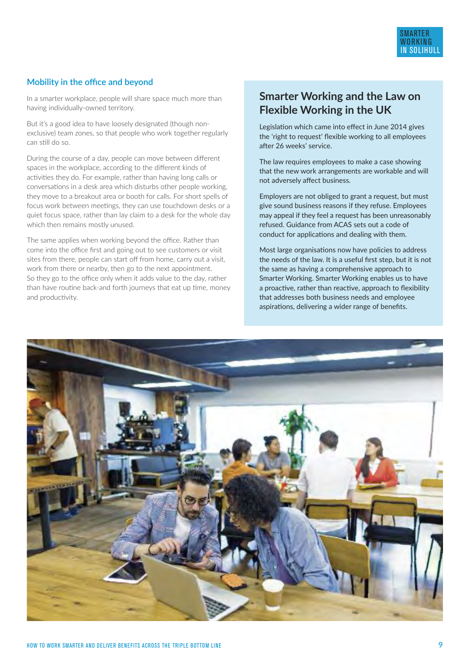

#### **Mobility in the office and beyond**

In a smarter workplace, people will share space much more than having individually-owned territory.

But it's a good idea to have loosely designated (though nonexclusive) team zones, so that people who work together regularly can still do so.

During the course of a day, people can move between different spaces in the workplace, according to the different kinds of activities they do. For example, rather than having long calls or conversations in a desk area which disturbs other people working, they move to a breakout area or booth for calls. For short spells of focus work between meetings, they can use touchdown desks or a quiet focus space, rather than lay claim to a desk for the whole day which then remains mostly unused.

The same applies when working beyond the office. Rather than come into the office first and going out to see customers or visit sites from there, people can start off from home, carry out a visit, work from there or nearby, then go to the next appointment. So they go to the office only when it adds value to the day, rather than have routine back-and forth journeys that eat up time, money and productivity.

## **Smarter Working and the Law on Flexible Working in the UK**

Legislation which came into effect in June 2014 gives the 'right to request' flexible working to all employees after 26 weeks' service.

The law requires employees to make a case showing that the new work arrangements are workable and will not adversely affect business.

Employers are not obliged to grant a request, but must give sound business reasons if they refuse. Employees may appeal if they feel a request has been unreasonably refused. Guidance from ACAS sets out a code of conduct for applications and dealing with them.

Most large organisations now have policies to address the needs of the law. It is a useful first step, but it is not the same as having a comprehensive approach to Smarter Working. Smarter Working enables us to have a proactive, rather than reactive, approach to flexibility that addresses both business needs and employee aspirations, delivering a wider range of benefits.

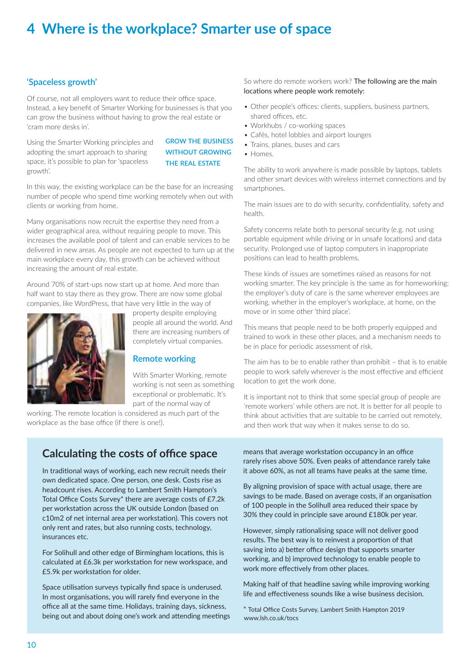# **4 Where is the workplace? Smarter use of space**

#### **'spaceless growth'**

Of course, not all employers want to reduce their office space. Instead, a key benefit of Smarter Working for businesses is that you can grow the business without having to grow the real estate or 'cram more desks in'.

Using the Smarter Working principles and adopting the smart approach to sharing space, it's possible to plan for 'spaceless growth'.

#### **grow thE BusinEss without growing thE rEal EstatE**

In this way, the existing workplace can be the base for an increasing number of people who spend time working remotely when out with clients or working from home.

Many organisations now recruit the expertise they need from a wider geographical area, without requiring people to move. This increases the available pool of talent and can enable services to be delivered in new areas. As people are not expected to turn up at the main workplace every day, this growth can be achieved without increasing the amount of real estate.

Around 70% of start-ups now start up at home. And more than half want to stay there as they grow. There are now some global companies, like WordPress, that have very little in the way of



property despite employing people all around the world. And there are increasing numbers of completely virtual companies.

#### **Remote working**

With Smarter Working, remote working is not seen as something exceptional or problematic. It's part of the normal way of

working. The remote location is considered as much part of the workplace as the base office (if there is one!).

#### So where do remote workers work? The following are the main locations where people work remotely:

- Other people's offices: clients, suppliers, business partners, shared offices, etc.
- Workhubs / co-working spaces
- Cafés, hotel lobbies and airport lounges
- Trains, planes, buses and cars
- Homes.

The ability to work anywhere is made possible by laptops, tablets and other smart devices with wireless internet connections and by smartphones.

The main issues are to do with security, confidentiality, safety and health.

Safety concerns relate both to personal security (e.g. not using portable equipment while driving or in unsafe locations) and data security. Prolonged use of laptop computers in inappropriate positions can lead to health problems.

These kinds of issues are sometimes raised as reasons for not working smarter. The key principle is the same as for homeworking: the employer's duty of care is the same wherever employees are working, whether in the employer's workplace, at home, on the move or in some other 'third place'.

This means that people need to be both properly equipped and trained to work in these other places, and a mechanism needs to be in place for periodic assessment of risk.

The aim has to be to enable rather than prohibit – that is to enable people to work safely wherever is the most effective and efficient location to get the work done.

It is important not to think that some special group of people are 'remote workers' while others are not. It is better for all people to think about activities that are suitable to be carried out remotely, and then work that way when it makes sense to do so.

## **Calculating the costs of office space**

In traditional ways of working, each new recruit needs their own dedicated space. One person, one desk. Costs rise as headcount rises. According to Lambert Smith Hampton's Total Office Costs Survey\* there are average costs of £7.2k per workstation across the UK outside London (based on c10m2 of net internal area per workstation). This covers not only rent and rates, but also running costs, technology, insurances etc.

For Solihull and other edge of Birmingham locations, this is calculated at £6.3k per workstation for new workspace, and £5.9k per workstation for older.

Space utilisation surveys typically find space is underused. In most organisations, you will rarely find everyone in the office all at the same time. Holidays, training days, sickness, being out and about doing one's work and attending meetings means that average workstation occupancy in an office rarely rises above 50%. Even peaks of attendance rarely take it above 60%, as not all teams have peaks at the same time.

By aligning provision of space with actual usage, there are savings to be made. Based on average costs, if an organisation of 100 people in the Solihull area reduced their space by 30% they could in principle save around £180k per year.

However, simply rationalising space will not deliver good results. The best way is to reinvest a proportion of that saving into a) better office design that supports smarter working, and b) improved technology to enable people to work more effectively from other places.

Making half of that headline saving while improving working life and effectiveness sounds like a wise business decision.

\* Total Office Costs Survey, Lambert Smith Hampton 2019 www.lsh.co.uk/tocs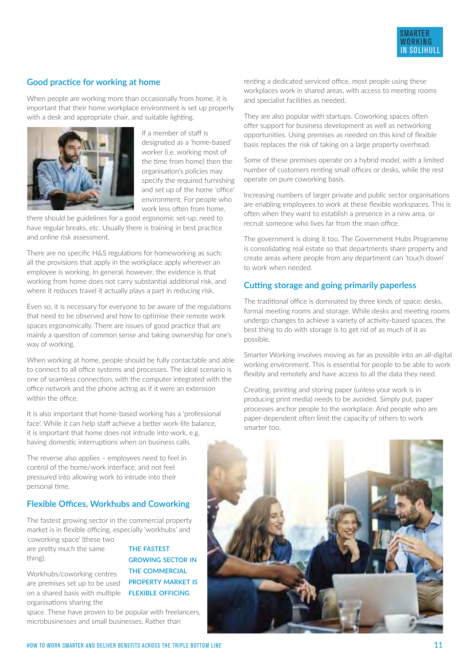#### **good practice for working at home**

When people are working more than occasionally from home, it is important that their home workplace environment is set up properly with a desk and appropriate chair, and suitable lighting.



If a member of staff is designated as a 'home-based' worker (i.e. working most of the time from home) then the organisation's policies may specify the required furnishing and set up of the home 'office' environment. For people who work less often from home,

there should be guidelines for a good ergonomic set-up, need to have regular breaks, etc. Usually there is training in best practice and online risk assessment.

There are no specific H&S regulations for homeworking as such: all the provisions that apply in the workplace apply wherever an employee is working. In general, however, the evidence is that working from home does not carry substantial additional risk, and where it reduces travel it actually plays a part in reducing risk.

Even so, it is necessary for everyone to be aware of the regulations that need to be observed and how to optimise their remote work spaces ergonomically. There are issues of good practice that are mainly a question of common sense and taking ownership for one's way of working.

When working at home, people should be fully contactable and able to connect to all office systems and processes. The ideal scenario is one of seamless connection, with the computer integrated with the office network and the phone acting as if it were an extension within the office.

It is also important that home-based working has a 'professional face'. While it can help staff achieve a better work-life balance, it is important that home does not intrude into work, e.g. having domestic interruptions when on business calls.

The reverse also applies – employees need to feel in control of the home/work interface, and not feel pressured into allowing work to intrude into their personal time.

#### **flexible offices, workhubs and coworking**

The fastest growing sector in the commercial property market is in flexible officing, especially 'workhubs' and

'coworking space' (these two are pretty much the same thing).

Workhubs/coworking centres are premises set up to be used on a shared basis with multiple organisations sharing the

**thE fastEst growing sEctor in THE COMMERCIAL ProPErty MarkEt is flExiBlE officing**

space. These have proven to be popular with freelancers, microbusinesses and small businesses. Rather than

renting a dedicated serviced office, most people using these workplaces work in shared areas, with access to meeting rooms and specialist facilities as needed.

They are also popular with startups. Coworking spaces often offer support for business development as well as networking opportunities. Using premises as needed on this kind of flexible basis replaces the risk of taking on a large property overhead.

Some of these premises operate on a hybrid model, with a limited number of customers renting small offices or desks, while the rest operate on pure coworking basis.

Increasing numbers of larger private and public sector organisations are enabling employees to work at these flexible workspaces. This is often when they want to establish a presence in a new area, or recruit someone who lives far from the main office.

The government is doing it too. The Government Hubs Programme is consolidating real estate so that departments share property and create areas where people from any department can 'touch down' to work when needed.

#### **cutting storage and going primarily paperless**

The traditional office is dominated by three kinds of space: desks, formal meeting rooms and storage. While desks and meeting rooms undergo changes to achieve a variety of activity-based spaces, the best thing to do with storage is to get rid of as much of it as possible.

Smarter Working involves moving as far as possible into an all-digital working environment. This is essential for people to be able to work flexibly and remotely and have access to all the data they need.

Creating, printing and storing paper (unless your work is in producing print media) needs to be avoided. Simply put, paper processes anchor people to the workplace. And people who are paper-dependent often limit the capacity of others to work smarter too.

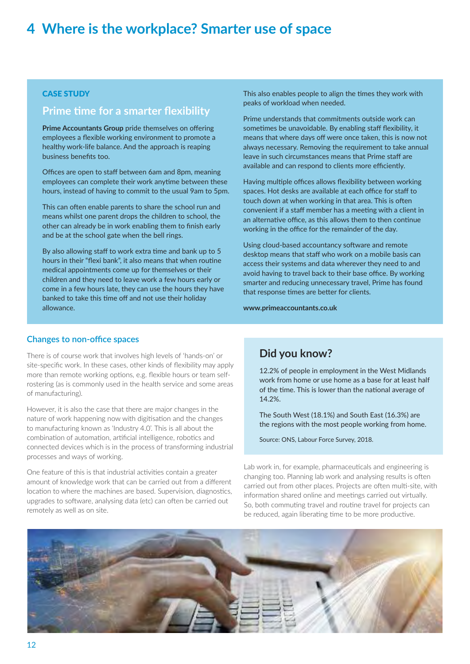#### CASE STUDY

#### **Prime time for a smarter flexibility**

**Prime Accountants Group** pride themselves on offering employees a flexible working environment to promote a healthy work-life balance. And the approach is reaping business benefits too.

Offices are open to staff between 6am and 8pm, meaning employees can complete their work anytime between these hours, instead of having to commit to the usual 9am to 5pm.

This can often enable parents to share the school run and means whilst one parent drops the children to school, the other can already be in work enabling them to finish early and be at the school gate when the bell rings.

By also allowing staff to work extra time and bank up to 5 hours in their "flexi bank", it also means that when routine medical appointments come up for themselves or their children and they need to leave work a few hours early or come in a few hours late, they can use the hours they have banked to take this time off and not use their holiday allowance.

This also enables people to align the times they work with peaks of workload when needed.

Prime understands that commitments outside work can sometimes be unavoidable. By enabling staff flexibility, it means that where days off were once taken, this is now not always necessary. Removing the requirement to take annual leave in such circumstances means that Prime staff are available and can respond to clients more efficiently.

Having multiple offices allows flexibility between working spaces. Hot desks are available at each office for staff to touch down at when working in that area. This is often convenient if a staff member has a meeting with a client in an alternative office, as this allows them to then continue working in the office for the remainder of the day.

Using cloud-based accountancy software and remote desktop means that staff who work on a mobile basis can access their systems and data wherever they need to and avoid having to travel back to their base office. By working smarter and reducing unnecessary travel, Prime has found that response times are better for clients.

**www.primeaccountants.co.uk**

#### **changes to non-office spaces**

There is of course work that involves high levels of 'hands-on' or site-specific work. In these cases, other kinds of flexibility may apply more than remote working options, e.g. flexible hours or team selfrostering (as is commonly used in the health service and some areas of manufacturing).

However, it is also the case that there are major changes in the nature of work happening now with digitisation and the changes to manufacturing known as 'Industry 4.0'. This is all about the combination of automation, artificial intelligence, robotics and connected devices which is in the process of transforming industrial processes and ways of working.

One feature of this is that industrial activities contain a greater amount of knowledge work that can be carried out from a different location to where the machines are based. Supervision, diagnostics, upgrades to software, analysing data (etc) can often be carried out remotely as well as on site.

#### **Did you know?**

12.2% of people in employment in the West Midlands work from home or use home as a base for at least half of the time. This is lower than the national average of 14.2%.

The South West (18.1%) and South East (16.3%) are the regions with the most people working from home.

Source: ONS, Labour Force Survey, 2018.

Lab work in, for example, pharmaceuticals and engineering is changing too. Planning lab work and analysing results is often carried out from other places. Projects are often multi-site, with information shared online and meetings carried out virtually. So, both commuting travel and routine travel for projects can be reduced, again liberating time to be more productive.

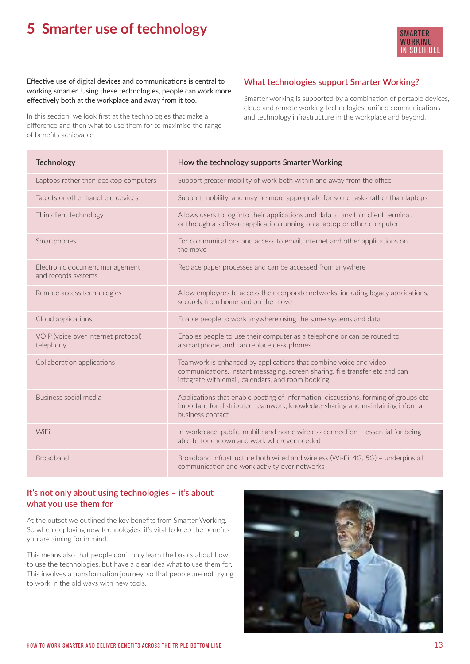## **5 Smarter use of technology**



Effective use of digital devices and communications is central to working smarter. Using these technologies, people can work more effectively both at the workplace and away from it too.

In this section, we look first at the technologies that make a difference and then what to use them for to maximise the range of benefits achievable.

#### **what technologies support smarter working?**

Smarter working is supported by a combination of portable devices, cloud and remote working technologies, unified communications and technology infrastructure in the workplace and beyond.

| <b>Technology</b>                                     | How the technology supports Smarter Working                                                                                                                                                            |
|-------------------------------------------------------|--------------------------------------------------------------------------------------------------------------------------------------------------------------------------------------------------------|
| Laptops rather than desktop computers                 | Support greater mobility of work both within and away from the office                                                                                                                                  |
| Tablets or other handheld devices                     | Support mobility, and may be more appropriate for some tasks rather than laptops                                                                                                                       |
| Thin client technology                                | Allows users to log into their applications and data at any thin client terminal,<br>or through a software application running on a laptop or other computer                                           |
| Smartphones                                           | For communications and access to email, internet and other applications on<br>the move                                                                                                                 |
| Electronic document management<br>and records systems | Replace paper processes and can be accessed from anywhere                                                                                                                                              |
| Remote access technologies                            | Allow employees to access their corporate networks, including legacy applications,<br>securely from home and on the move                                                                               |
| Cloud applications                                    | Enable people to work anywhere using the same systems and data                                                                                                                                         |
| VOIP (voice over internet protocol)<br>telephony      | Enables people to use their computer as a telephone or can be routed to<br>a smartphone, and can replace desk phones                                                                                   |
| Collaboration applications                            | Teamwork is enhanced by applications that combine voice and video<br>communications, instant messaging, screen sharing, file transfer etc and can<br>integrate with email, calendars, and room booking |
| Business social media                                 | Applications that enable posting of information, discussions, forming of groups etc -<br>important for distributed teamwork, knowledge-sharing and maintaining informal<br>business contact            |
| WiFi                                                  | In-workplace, public, mobile and home wireless connection - essential for being<br>able to touchdown and work wherever needed                                                                          |
| <b>Broadband</b>                                      | Broadband infrastructure both wired and wireless (Wi-Fi, 4G, 5G) - underpins all<br>communication and work activity over networks                                                                      |

#### **it's not only about using technologies – it's about what you use them for**

At the outset we outlined the key benefits from Smarter Working. So when deploying new technologies, it's vital to keep the benefits you are aiming for in mind.

This means also that people don't only learn the basics about how to use the technologies, but have a clear idea what to use them for. This involves a transformation journey, so that people are not trying to work in the old ways with new tools.

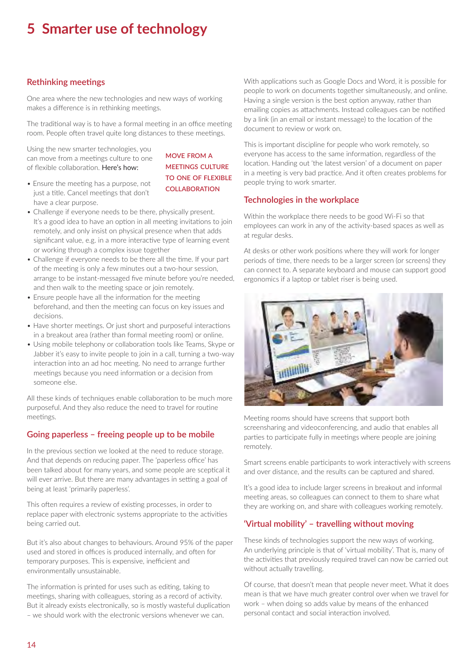# **5 Smarter use of technology**

#### **rethinking meetings**

One area where the new technologies and new ways of working makes a difference is in rethinking meetings.

The traditional way is to have a formal meeting in an office meeting room. People often travel quite long distances to these meetings.

Using the new smarter technologies, you can move from a meetings culture to one of flexible collaboration. Here's how:

• Ensure the meeting has a purpose, not just a title. Cancel meetings that don't have a clear purpose.

## **MovE froM a MEEtings culturE to onE of flExiBlE collaBoration**

- Challenge if everyone needs to be there, physically present. It's a good idea to have an option in all meeting invitations to join remotely, and only insist on physical presence when that adds significant value, e.g. in a more interactive type of learning event or working through a complex issue together
- Challenge if everyone needs to be there all the time. If your part of the meeting is only a few minutes out a two-hour session, arrange to be instant-messaged five minute before you're needed, and then walk to the meeting space or join remotely.
- Ensure people have all the information for the meeting beforehand, and then the meeting can focus on key issues and decisions.
- Have shorter meetings. Or just short and purposeful interactions in a breakout area (rather than formal meeting room) or online.
- Using mobile telephony or collaboration tools like Teams, Skype or Jabber it's easy to invite people to join in a call, turning a two-way interaction into an ad hoc meeting. No need to arrange further meetings because you need information or a decision from someone else.

All these kinds of techniques enable collaboration to be much more purposeful. And they also reduce the need to travel for routine meetings.

#### **going paperless – freeing people up to be mobile**

In the previous section we looked at the need to reduce storage. And that depends on reducing paper. The 'paperless office' has been talked about for many years, and some people are sceptical it will ever arrive. But there are many advantages in setting a goal of being at least 'primarily paperless'.

This often requires a review of existing processes, in order to replace paper with electronic systems appropriate to the activities being carried out.

But it's also about changes to behaviours. Around 95% of the paper used and stored in offices is produced internally, and often for temporary purposes. This is expensive, inefficient and environmentally unsustainable.

The information is printed for uses such as editing, taking to meetings, sharing with colleagues, storing as a record of activity. But it already exists electronically, so is mostly wasteful duplication – we should work with the electronic versions whenever we can.

With applications such as Google Docs and Word, it is possible for people to work on documents together simultaneously, and online. Having a single version is the best option anyway, rather than emailing copies as attachments. Instead colleagues can be notified by a link (in an email or instant message) to the location of the document to review or work on.

This is important discipline for people who work remotely, so everyone has access to the same information, regardless of the location. Handing out 'the latest version' of a document on paper in a meeting is very bad practice. And it often creates problems for people trying to work smarter.

#### **technologies in the workplace**

Within the workplace there needs to be good Wi-Fi so that employees can work in any of the activity-based spaces as well as at regular desks.

At desks or other work positions where they will work for longer periods of time, there needs to be a larger screen (or screens) they can connect to. A separate keyboard and mouse can support good ergonomics if a laptop or tablet riser is being used.



Meeting rooms should have screens that support both screensharing and videoconferencing, and audio that enables all parties to participate fully in meetings where people are joining remotely.

Smart screens enable participants to work interactively with screens and over distance, and the results can be captured and shared.

It's a good idea to include larger screens in breakout and informal meeting areas, so colleagues can connect to them to share what they are working on, and share with colleagues working remotely.

#### **'virtual mobility' – travelling without moving**

These kinds of technologies support the new ways of working. An underlying principle is that of 'virtual mobility'. That is, many of the activities that previously required travel can now be carried out without actually travelling.

Of course, that doesn't mean that people never meet. What it does mean is that we have much greater control over when we travel for work – when doing so adds value by means of the enhanced personal contact and social interaction involved.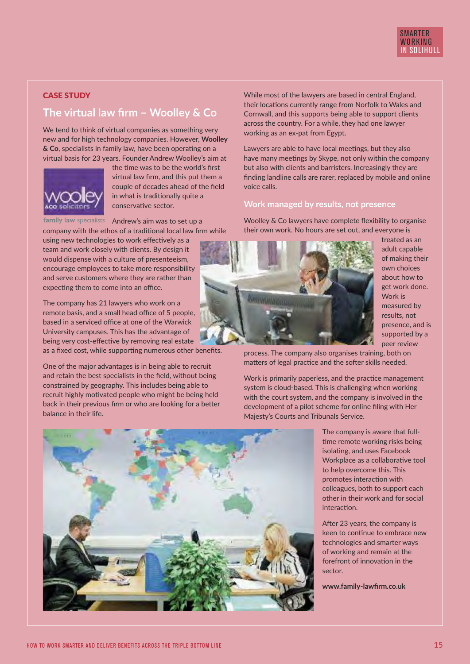

#### CASE STUDY

## **The virtual law firm – Woolley & Co**

We tend to think of virtual companies as something very new and for high technology companies. However, **Woolley & Co**, specialists in family law, have been operating on a virtual basis for 23 years. Founder Andrew Woolley's aim at



the time was to be the world's first virtual law firm, and this put them a couple of decades ahead of the field in what is traditionally quite a conservative sector.

family law specialists Andrew's aim was to set up a company with the ethos of a traditional local law firm while

using new technologies to work effectively as a team and work closely with clients. By design it would dispense with a culture of presenteeism, encourage employees to take more responsibility and serve customers where they are rather than expecting them to come into an office.

The company has 21 lawyers who work on a remote basis, and a small head office of 5 people, based in a serviced office at one of the Warwick University campuses. This has the advantage of being very cost-effective by removing real estate as a fixed cost, while supporting numerous other benefits.

One of the major advantages is in being able to recruit and retain the best specialists in the field, without being constrained by geography. This includes being able to recruit highly motivated people who might be being held back in their previous firm or who are looking for a better balance in their life.

While most of the lawyers are based in central England, their locations currently range from Norfolk to Wales and Cornwall, and this supports being able to support clients across the country. For a while, they had one lawyer working as an ex-pat from Egypt.

Lawyers are able to have local meetings, but they also have many meetings by Skype, not only within the company but also with clients and barristers. Increasingly they are finding landline calls are rarer, replaced by mobile and online voice calls.

#### **Work managed by results, not presence**

Woolley & Co lawyers have complete flexibility to organise their own work. No hours are set out, and everyone is



treated as an adult capable of making their own choices about how to get work done. Work is measured by results, not presence, and is supported by a peer review

process. The company also organises training, both on matters of legal practice and the softer skills needed.

Work is primarily paperless, and the practice management system is cloud-based. This is challenging when working with the court system, and the company is involved in the development of a pilot scheme for online filing with Her Majesty's Courts and Tribunals Service.



The company is aware that fulltime remote working risks being isolating, and uses Facebook Workplace as a collaborative tool to help overcome this. This promotes interaction with colleagues, both to support each other in their work and for social interaction.

After 23 years, the company is keen to continue to embrace new technologies and smarter ways of working and remain at the forefront of innovation in the sector.

**www.family-lawfirm.co.uk**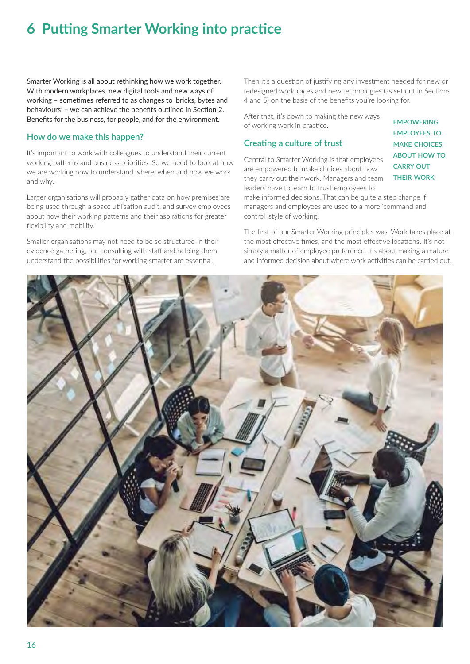# **6 Putting Smarter Working into practice**

Smarter Working is all about rethinking how we work together. With modern workplaces, new digital tools and new ways of working – sometimes referred to as changes to 'bricks, bytes and behaviours' – we can achieve the benefits outlined in Section 2. Benefits for the business, for people, and for the environment.

#### **how do we make this happen?**

It's important to work with colleagues to understand their current working patterns and business priorities. So we need to look at how we are working now to understand where, when and how we work and why.

Larger organisations will probably gather data on how premises are being used through a space utilisation audit, and survey employees about how their working patterns and their aspirations for greater flexibility and mobility.

Smaller organisations may not need to be so structured in their evidence gathering, but consulting with staff and helping them understand the possibilities for working smarter are essential.

Then it's a question of justifying any investment needed for new or redesigned workplaces and new technologies (as set out in Sections 4 and 5) on the basis of the benefits you're looking for.

> **EMPowEring EMPloyEEs to MakE choicEs aBout how to carry out thEir work**

After that, it's down to making the new ways of working work in practice.

#### **creating a culture of trust**

Central to Smarter Working is that employees are empowered to make choices about how they carry out their work. Managers and team leaders have to learn to trust employees to

make informed decisions. That can be quite a step change if managers and employees are used to a more 'command and control' style of working.

The first of our Smarter Working principles was 'Work takes place at the most effective times, and the most effective locations'. It's not simply a matter of employee preference. It's about making a mature and informed decision about where work activities can be carried out.



16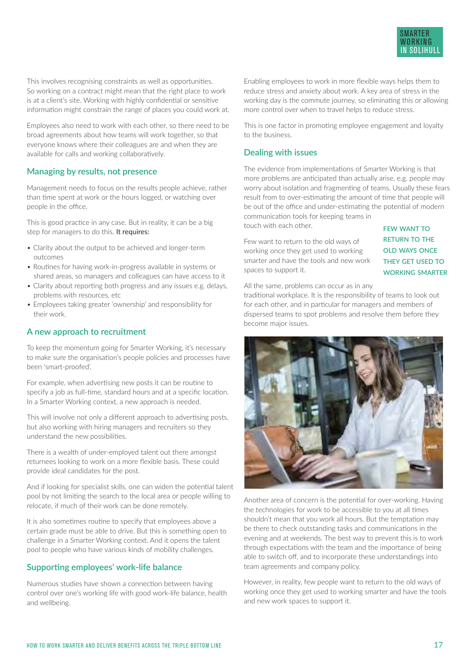

This involves recognising constraints as well as opportunities. So working on a contract might mean that the right place to work is at a client's site. Working with highly confidential or sensitive information might constrain the range of places you could work at.

Employees also need to work with each other, so there need to be broad agreements about how teams will work together, so that everyone knows where their colleagues are and when they are available for calls and working collaboratively.

#### **Managing by results, not presence**

Management needs to focus on the results people achieve, rather than time spent at work or the hours logged, or watching over people in the office.

This is good practice in any case. But in reality, it can be a big step for managers to do this. It requires:

- Clarity about the output to be achieved and longer-term outcomes
- Routines for having work-in-progress available in systems or shared areas, so managers and colleagues can have access to it
- Clarity about reporting both progress and any issues e.g. delays, problems with resources, etc
- Employees taking greater 'ownership' and responsibility for their work.

#### **a new approach to recruitment**

To keep the momentum going for Smarter Working, it's necessary to make sure the organisation's people policies and processes have been 'smart-proofed'.

For example, when advertising new posts it can be routine to specify a job as full-time, standard hours and at a specific location. In a Smarter Working context, a new approach is needed.

This will involve not only a different approach to advertising posts, but also working with hiring managers and recruiters so they understand the new possibilities.

There is a wealth of under-employed talent out there amongst returnees looking to work on a more flexible basis. These could provide ideal candidates for the post.

And if looking for specialist skills, one can widen the potential talent pool by not limiting the search to the local area or people willing to relocate, if much of their work can be done remotely.

It is also sometimes routine to specify that employees above a certain grade must be able to drive. But this is something open to challenge in a Smarter Working context. And it opens the talent pool to people who have various kinds of mobility challenges.

#### **supporting employees' work-life balance**

Numerous studies have shown a connection between having control over one's working life with good work-life balance, health and wellbeing.

Enabling employees to work in more flexible ways helps them to reduce stress and anxiety about work. A key area of stress in the working day is the commute journey, so eliminating this or allowing more control over when to travel helps to reduce stress.

This is one factor in promoting employee engagement and loyalty to the business.

#### **dealing with issues**

touch with each other.

The evidence from implementations of Smarter Working is that more problems are anticipated than actually arise, e.g. people may worry about isolation and fragmenting of teams. Usually these fears result from to over-estimating the amount of time that people will be out of the office and under-estimating the potential of modern communication tools for keeping teams in

Few want to return to the old ways of working once they get used to working smarter and have the tools and new work spaces to support it.

**fEw want to rEturn to thE old ways oncE thEy gEt usEd to working sMartEr**

All the same, problems can occur as in any

traditional workplace. It is the responsibility of teams to look out for each other, and in particular for managers and members of dispersed teams to spot problems and resolve them before they become major issues.



Another area of concern is the potential for over-working. Having the technologies for work to be accessible to you at all times shouldn't mean that you work all hours. But the temptation may be there to check outstanding tasks and communications in the evening and at weekends. The best way to prevent this is to work through expectations with the team and the importance of being able to switch off, and to incorporate these understandings into team agreements and company policy.

However, in reality, few people want to return to the old ways of working once they get used to working smarter and have the tools and new work spaces to support it.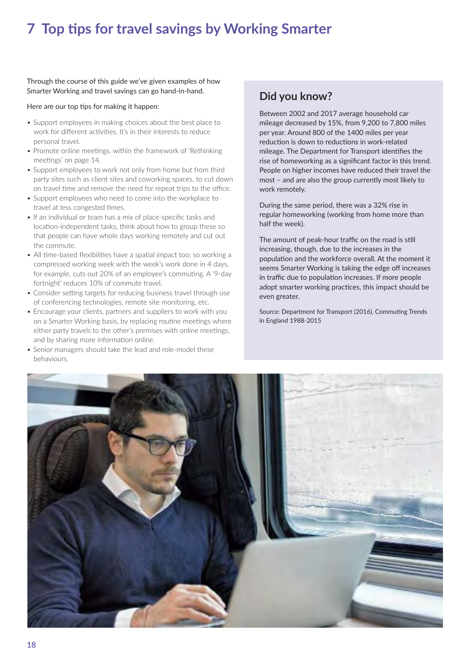# **7 Top tips for travel savings by Working Smarter**

Through the course of this guide we've given examples of how Smarter Working and travel savings can go hand-in-hand.

Here are our top tips for making it happen:

- Support employees in making choices about the best place to work for different activities. It's in their interests to reduce personal travel.
- Promote online meetings, within the framework of 'Rethinking meetings' on page 14.
- Support employees to work not only from home but from third party sites such as client sites and coworking spaces, to cut down on travel time and remove the need for repeat trips to the office.
- Support employees who need to come into the workplace to travel at less congested times.
- If an individual or team has a mix of place-specific tasks and location-independent tasks, think about how to group these so that people can have whole days working remotely and cut out the commute.
- All time-based flexibilities have a spatial impact too: so working a compressed working week with the week's work done in 4 days, for example, cuts out 20% of an employee's commuting. A '9-day fortnight' reduces 10% of commute travel.
- Consider setting targets for reducing business travel through use of conferencing technologies, remote site monitoring, etc.
- Encourage your clients, partners and suppliers to work with you on a Smarter Working basis, by replacing routine meetings where either party travels to the other's premises with online meetings, and by sharing more information online.
- Senior managers should take the lead and role-model these behaviours.

## **Did you know?**

Between 2002 and 2017 average household car mileage decreased by 15%, from 9,200 to 7,800 miles per year. Around 800 of the 1400 miles per year reduction is down to reductions in work-related mileage. The Department for Transport identifies the rise of homeworking as a significant factor in this trend. People on higher incomes have reduced their travel the most – and are also the group currently most likely to work remotely.

During the same period, there was a 32% rise in regular homeworking (working from home more than half the week).

The amount of peak-hour traffic on the road is still increasing, though, due to the increases in the population and the workforce overall. At the moment it seems Smarter Working is taking the edge off increases in traffic due to population increases. If more people adopt smarter working practices, this impact should be even greater.

Source: Department for Transport (2016), Commuting Trends in England 1988-2015

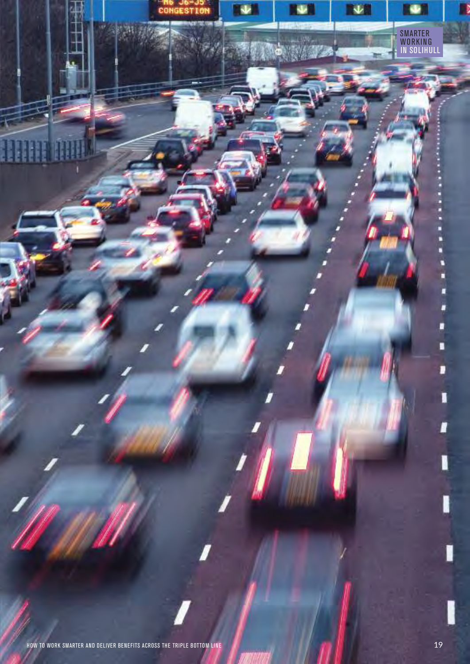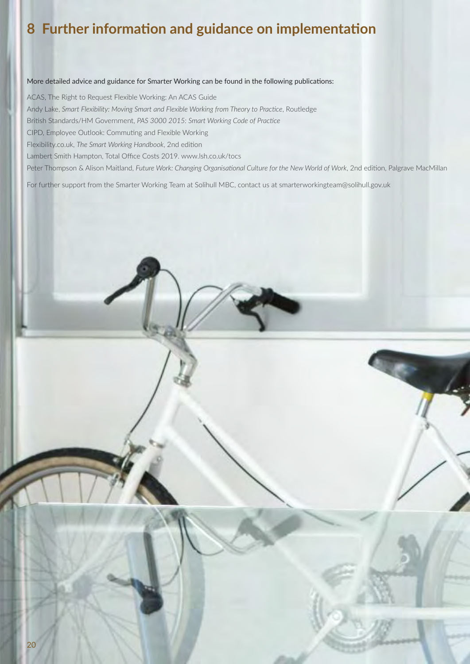# **8 Further information and guidance on implementation**

#### More detailed advice and guidance for Smarter Working can be found in the following publications:

ACAS, The Right to Request Flexible Working: An ACAS Guide Andy Lake, *Smart Flexibility: Moving Smart and Flexible Working from Theory to Practice*, Routledge British Standards/HM Government, *PAS 3000 2015: Smart Working Code of Practice* CIPD, Employee Outlook: Commuting and Flexible Working Flexibility.co.uk, *The Smart Working Handbook*, 2nd edition Lambert Smith Hampton, Total Office Costs 2019. www.lsh.co.uk/tocs Peter Thompson & Alison Maitland, *Future Work: Changing Organisational Culture for the New World of Work*, 2nd edition, Palgrave MacMillan

For further support from the Smarter Working Team at Solihull MBC, contact us at smarterworkingteam@solihull.gov.uk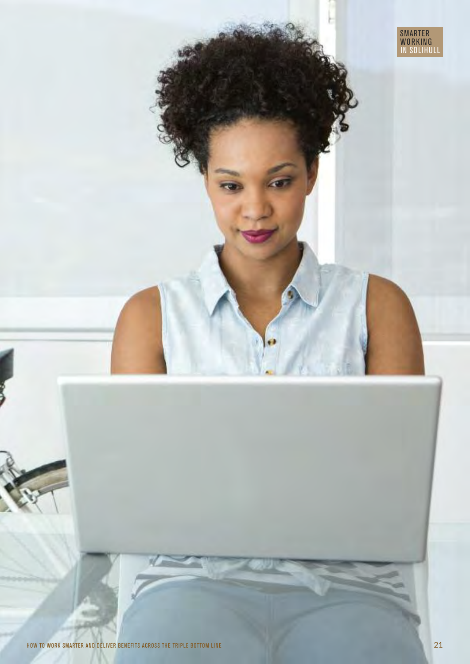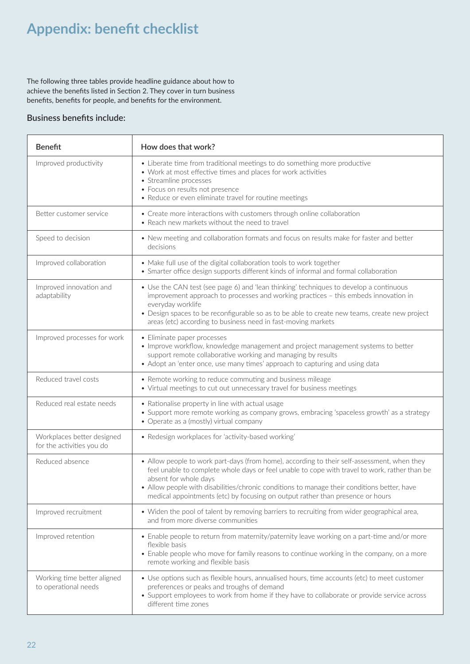# **Appendix: benefit checklist**

The following three tables provide headline guidance about how to achieve the benefits listed in Section 2. They cover in turn business benefits, benefits for people, and benefits for the environment.

#### **Business benefits include:**

| <b>Benefit</b>                                          | How does that work?                                                                                                                                                                                                                                                                                                                                                                                    |
|---------------------------------------------------------|--------------------------------------------------------------------------------------------------------------------------------------------------------------------------------------------------------------------------------------------------------------------------------------------------------------------------------------------------------------------------------------------------------|
| Improved productivity                                   | • Liberate time from traditional meetings to do something more productive<br>• Work at most effective times and places for work activities<br>• Streamline processes<br>• Focus on results not presence<br>• Reduce or even eliminate travel for routine meetings                                                                                                                                      |
| Better customer service                                 | • Create more interactions with customers through online collaboration<br>• Reach new markets without the need to travel                                                                                                                                                                                                                                                                               |
| Speed to decision                                       | • New meeting and collaboration formats and focus on results make for faster and better<br>decisions                                                                                                                                                                                                                                                                                                   |
| Improved collaboration                                  | • Make full use of the digital collaboration tools to work together<br>• Smarter office design supports different kinds of informal and formal collaboration                                                                                                                                                                                                                                           |
| Improved innovation and<br>adaptability                 | • Use the CAN test (see page 6) and 'lean thinking' techniques to develop a continuous<br>improvement approach to processes and working practices - this embeds innovation in<br>everyday worklife<br>• Design spaces to be reconfigurable so as to be able to create new teams, create new project<br>areas (etc) according to business need in fast-moving markets                                   |
| Improved processes for work                             | • Eliminate paper processes<br>• Improve workflow, knowledge management and project management systems to better<br>support remote collaborative working and managing by results<br>• Adopt an 'enter once, use many times' approach to capturing and using data                                                                                                                                       |
| Reduced travel costs                                    | • Remote working to reduce commuting and business mileage<br>• Virtual meetings to cut out unnecessary travel for business meetings                                                                                                                                                                                                                                                                    |
| Reduced real estate needs                               | • Rationalise property in line with actual usage<br>• Support more remote working as company grows, embracing 'spaceless growth' as a strategy<br>• Operate as a (mostly) virtual company                                                                                                                                                                                                              |
| Workplaces better designed<br>for the activities you do | • Redesign workplaces for 'activity-based working'                                                                                                                                                                                                                                                                                                                                                     |
| Reduced absence                                         | • Allow people to work part-days (from home), according to their self-assessment, when they<br>feel unable to complete whole days or feel unable to cope with travel to work, rather than be<br>absent for whole days<br>• Allow people with disabilities/chronic conditions to manage their conditions better, have<br>medical appointments (etc) by focusing on output rather than presence or hours |
| Improved recruitment                                    | • Widen the pool of talent by removing barriers to recruiting from wider geographical area,<br>and from more diverse communities                                                                                                                                                                                                                                                                       |
| Improved retention                                      | • Enable people to return from maternity/paternity leave working on a part-time and/or more<br>flexible basis<br>• Enable people who move for family reasons to continue working in the company, on a more<br>remote working and flexible basis                                                                                                                                                        |
| Working time better aligned<br>to operational needs     | • Use options such as flexible hours, annualised hours, time accounts (etc) to meet customer<br>preferences or peaks and troughs of demand<br>• Support employees to work from home if they have to collaborate or provide service across<br>different time zones                                                                                                                                      |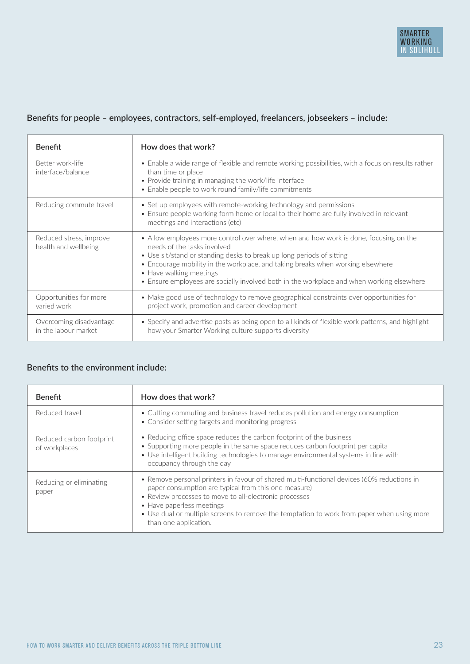## **Benefits for people – employees, contractors, self-employed, freelancers, jobseekers – include:**

| <b>Benefit</b>                                  | How does that work?                                                                                                                                                                                                                                                                                                                                                                                      |
|-------------------------------------------------|----------------------------------------------------------------------------------------------------------------------------------------------------------------------------------------------------------------------------------------------------------------------------------------------------------------------------------------------------------------------------------------------------------|
| Better work-life<br>interface/balance           | • Enable a wide range of flexible and remote working possibilities, with a focus on results rather<br>than time or place<br>• Provide training in managing the work/life interface<br>• Enable people to work round family/life commitments                                                                                                                                                              |
| Reducing commute travel                         | • Set up employees with remote-working technology and permissions<br>• Ensure people working form home or local to their home are fully involved in relevant<br>meetings and interactions (etc)                                                                                                                                                                                                          |
| Reduced stress, improve<br>health and wellbeing | • Allow employees more control over where, when and how work is done, focusing on the<br>needs of the tasks involved<br>• Use sit/stand or standing desks to break up long periods of sitting<br>• Encourage mobility in the workplace, and taking breaks when working elsewhere<br>• Have walking meetings<br>• Ensure employees are socially involved both in the workplace and when working elsewhere |
| Opportunities for more<br>varied work           | • Make good use of technology to remove geographical constraints over opportunities for<br>project work, promotion and career development                                                                                                                                                                                                                                                                |
| Overcoming disadvantage<br>in the labour market | • Specify and advertise posts as being open to all kinds of flexible work patterns, and highlight<br>how your Smarter Working culture supports diversity                                                                                                                                                                                                                                                 |

### **Benefits to the environment include:**

| <b>Benefit</b>                            | How does that work?                                                                                                                                                                                                                                                                                                                                              |
|-------------------------------------------|------------------------------------------------------------------------------------------------------------------------------------------------------------------------------------------------------------------------------------------------------------------------------------------------------------------------------------------------------------------|
| Reduced travel                            | • Cutting commuting and business travel reduces pollution and energy consumption<br>• Consider setting targets and monitoring progress                                                                                                                                                                                                                           |
| Reduced carbon footprint<br>of workplaces | • Reducing office space reduces the carbon footprint of the business<br>• Supporting more people in the same space reduces carbon footprint per capita<br>• Use intelligent building technologies to manage environmental systems in line with<br>occupancy through the day                                                                                      |
| Reducing or eliminating<br>paper          | • Remove personal printers in favour of shared multi-functional devices (60% reductions in<br>paper consumption are typical from this one measure)<br>• Review processes to move to all-electronic processes<br>• Have paperless meetings<br>• Use dual or multiple screens to remove the temptation to work from paper when using more<br>than one application. |